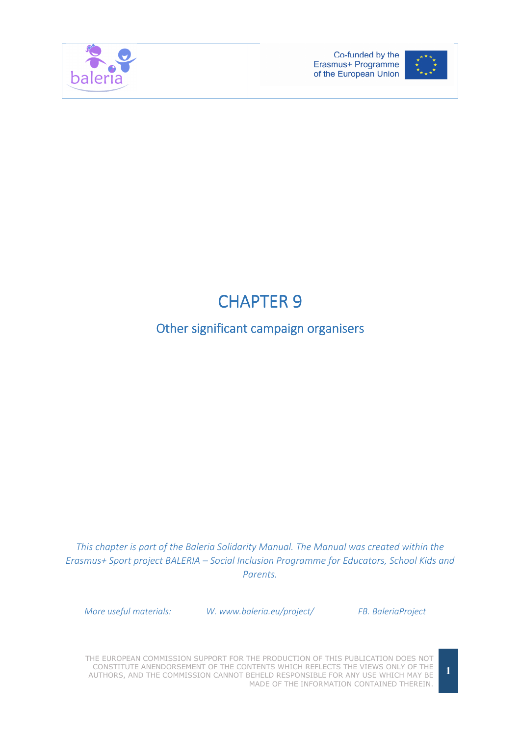



# **CHAPTER 9**

## Other significant campaign organisers

This chapter is part of the Baleria Solidarity Manual. The Manual was created within the Erasmus+ Sport project BALERIA – Social Inclusion Programme for Educators, School Kids and Parents.

More useful materials: W. www.baleria.eu/project/ FB. BaleriaProject

THE EUROPEAN COMMISSION SUPPORT FOR THE PRODUCTION OF THIS PUBLICATION DOES NOT CONSTITUTE ANENDORSEMENT OF THE CONTENTS WHICH REFLECTS THE VIEWS ONLY OF THE AUTHORS, AND THE COMMISSION CANNOT BEHELD RESPONSIBLE FOR ANY USE WHICH MAY BE MADE OF THE INFORMATION CONTAINED THEREIN.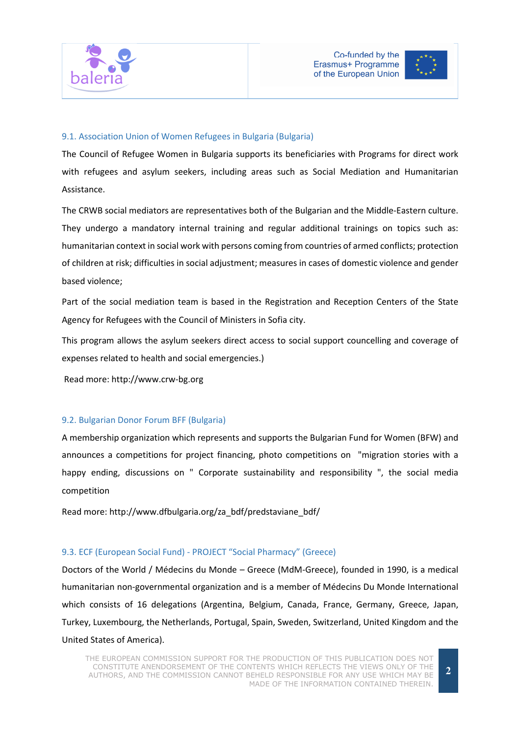



#### 9.1. Association Union of Women Refugees in Bulgaria (Bulgaria)

The Council of Refugee Women in Bulgaria supports its beneficiaries with Programs for direct work with refugees and asylum seekers, including areas such as Social Mediation and Humanitarian Assistance.

The CRWB social mediators are representatives both of the Bulgarian and the Middle-Eastern culture. They undergo a mandatory internal training and regular additional trainings on topics such as: humanitarian context in social work with persons coming from countries of armed conflicts; protection of children at risk; difficulties in social adjustment; measures in cases of domestic violence and gender based violence;

Part of the social mediation team is based in the Registration and Reception Centers of the State Agency for Refugees with the Council of Ministers in Sofia city.

This program allows the asylum seekers direct access to social support councelling and coverage of expenses related to health and social emergencies.)

Read more: http://www.crw-bg.org

#### 9.2. Bulgarian Donor Forum BFF (Bulgaria)

A membership organization which represents and supports the Bulgarian Fund for Women (BFW) and announces a competitions for project financing, photo competitions on "migration stories with a happy ending, discussions on " Corporate sustainability and responsibility ", the social media competition

Read more: http://www.dfbulgaria.org/za\_bdf/predstaviane\_bdf/

#### 9.3. ECF (European Social Fund) - PROJECT "Social Pharmacy" (Greece)

Doctors of the World / Médecins du Monde – Greece (MdM-Greece), founded in 1990, is a medical humanitarian non-governmental organization and is a member of Médecins Du Monde International which consists of 16 delegations (Argentina, Belgium, Canada, France, Germany, Greece, Japan, Turkey, Luxembourg, the Netherlands, Portugal, Spain, Sweden, Switzerland, United Kingdom and the United States of America).